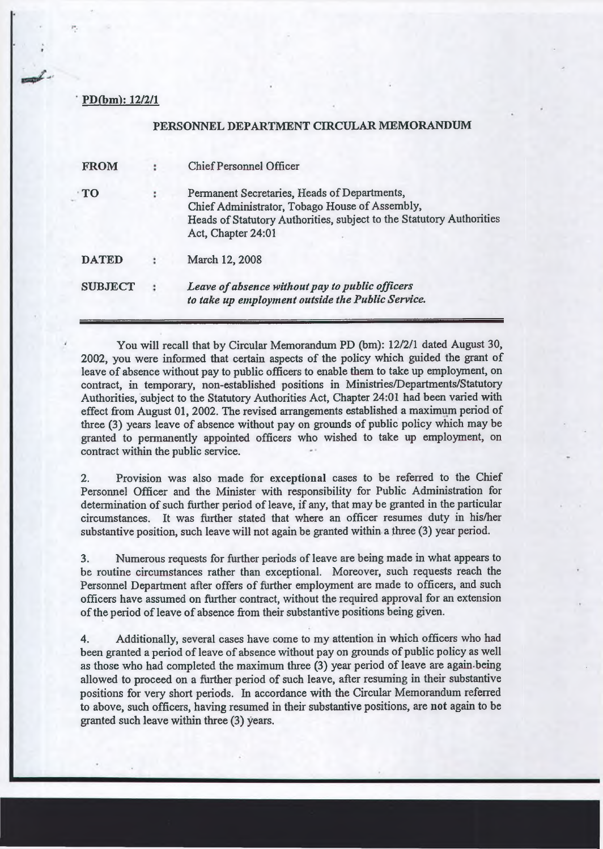## PD(bm): 12/2/1

## PERSONNEL DEPARTMENT CIRCULAR MEMORANDUM

| <b>FROM</b>    | <b>Chief Personnel Officer</b>                                                                                                                                                               |
|----------------|----------------------------------------------------------------------------------------------------------------------------------------------------------------------------------------------|
| TO             | Permanent Secretaries, Heads of Departments,<br>Chief Administrator, Tobago House of Assembly,<br>Heads of Statutory Authorities, subject to the Statutory Authorities<br>Act, Chapter 24:01 |
| <b>DATED</b>   | March 12, 2008                                                                                                                                                                               |
| <b>SUBJECT</b> | Leave of absence without pay to public officers<br>to take up employment outside the Public Service.                                                                                         |

You will recall that by Circular Memorandum PD (bm): 12/2/1 dated August 30, 2002, you were informed that certain aspects of the policy which guided the grant of leave of absence without pay to public officers to enable them to take up employment, on contract, in temporary, non-established positions in Ministries/Departments/Statutory Authorities, subject to the Statutory Authorities Act, Chapter 24:01 had been varied with effect from August 01, 2002. The revised arrangements established a maximum period of three (3) years leave of absence without pay on grounds of public policy which may be granted to permanently appointed officers who wished to take up employment, on contract within the public service.

2. Provision was also made for exceptional cases to be referred to the Chief Personnel Officer and the Minister with responsibility for Public Administration for determination of such further period of leave, if any, that may be granted in the particular circumstances. It was further stated that where an officer resumes duty in his/her substantive position, such leave will not again be granted within a three (3) year period.

3. Numerous requests for further periods of leave are being made in what appears to be routine circumstances rather than exceptional. Moreover, such requests reach the Personnel Department after offers of further employment are made to officers, and such officers have assumed on further contract, without the required approval for an extension of the period of leave of absence from their substantive positions being given.

4. Additionally, several cases have come to my attention in which officers who had been granted a period of leave of absence without pay on grounds of public policy as well as those who had completed the maximum three (3) year period of leave are again-being allowed to proceed on a further period of such leave, after resuming in their substantive positions for very short periods. In accordance with the Circular Memorandum referred to above, such officers, having resumed in their substantive positions, are not again to be granted such leave within three (3) years.